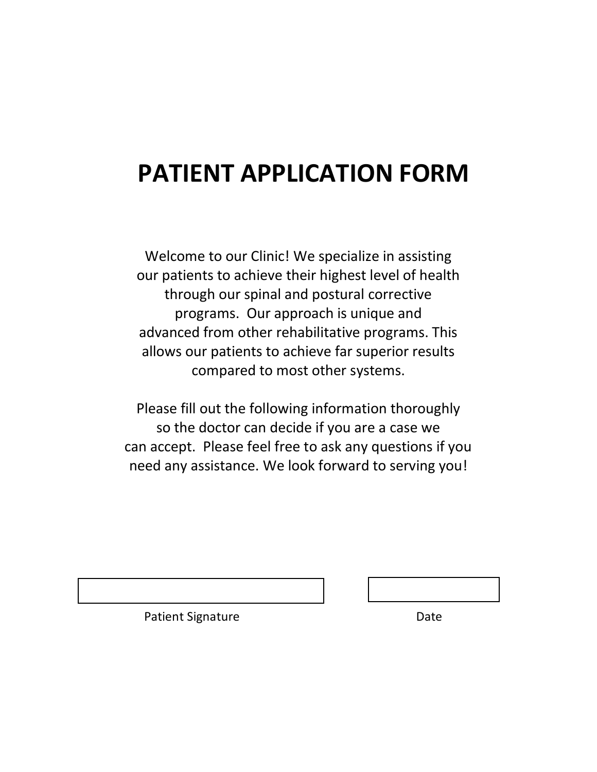# **PATIENT APPLICATION FORM**

Welcome to our Clinic! We specialize in assisting our patients to achieve their highest level of health through our spinal and postural corrective programs. Our approach is unique and advanced from other rehabilitative programs. This allows our patients to achieve far superior results compared to most other systems.

Please fill out the following information thoroughly so the doctor can decide if you are a case we can accept. Please feel free to ask any questions if you need any assistance. We look forward to serving you!

Patient Signature Date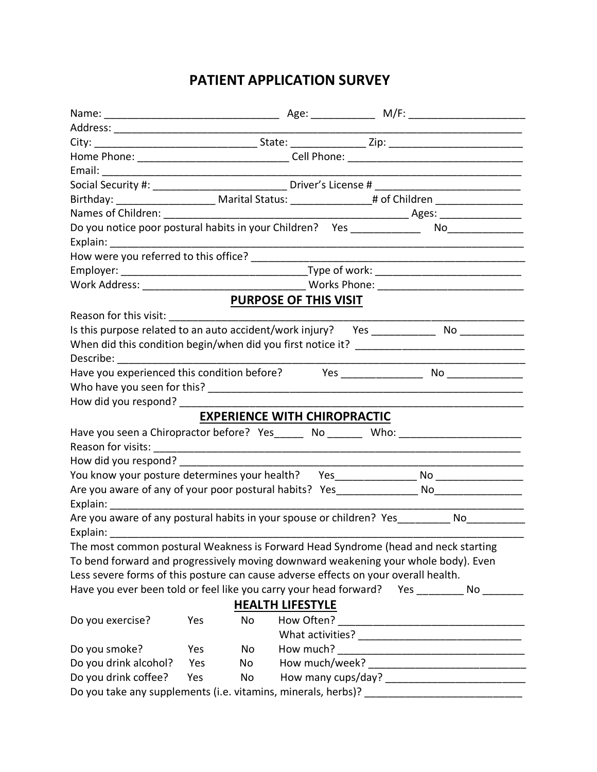# **PATIENT APPLICATION SURVEY**

| Birthday: ________________________________Marital Status: ______________________ # of Children _______________<br>Do you notice poor postural habits in your Children? Yes ____________<br>PURPOSE OF THIS VISIT<br>Is this purpose related to an auto accident/work injury?  Yes __________________ No _______________<br>Describe: ____________________<br>Have you experienced this condition before? Mes _________________________________<br>How did you respond? __________________<br><b>EXPERIENCE WITH CHIROPRACTIC</b><br>Have you seen a Chiropractor before? Yes_______ No _______ Who: _________________<br>How did you respond?<br>You know your posture determines your health? Yes__________________No____________<br>Explain: The contract of the contract of the contract of the contract of the contract of the contract of the contract of the contract of the contract of the contract of the contract of the contract of the contract of the c<br>Are you aware of any postural habits in your spouse or children? Yes_________ No__________<br>The most common postural Weakness is Forward Head Syndrome (head and neck starting<br>To bend forward and progressively moving downward weakening your whole body). Even<br>Less severe forms of this posture can cause adverse effects on your overall health. |                        |
|---------------------------------------------------------------------------------------------------------------------------------------------------------------------------------------------------------------------------------------------------------------------------------------------------------------------------------------------------------------------------------------------------------------------------------------------------------------------------------------------------------------------------------------------------------------------------------------------------------------------------------------------------------------------------------------------------------------------------------------------------------------------------------------------------------------------------------------------------------------------------------------------------------------------------------------------------------------------------------------------------------------------------------------------------------------------------------------------------------------------------------------------------------------------------------------------------------------------------------------------------------------------------------------------------------------------------------------|------------------------|
|                                                                                                                                                                                                                                                                                                                                                                                                                                                                                                                                                                                                                                                                                                                                                                                                                                                                                                                                                                                                                                                                                                                                                                                                                                                                                                                                       |                        |
|                                                                                                                                                                                                                                                                                                                                                                                                                                                                                                                                                                                                                                                                                                                                                                                                                                                                                                                                                                                                                                                                                                                                                                                                                                                                                                                                       |                        |
|                                                                                                                                                                                                                                                                                                                                                                                                                                                                                                                                                                                                                                                                                                                                                                                                                                                                                                                                                                                                                                                                                                                                                                                                                                                                                                                                       |                        |
|                                                                                                                                                                                                                                                                                                                                                                                                                                                                                                                                                                                                                                                                                                                                                                                                                                                                                                                                                                                                                                                                                                                                                                                                                                                                                                                                       |                        |
|                                                                                                                                                                                                                                                                                                                                                                                                                                                                                                                                                                                                                                                                                                                                                                                                                                                                                                                                                                                                                                                                                                                                                                                                                                                                                                                                       |                        |
|                                                                                                                                                                                                                                                                                                                                                                                                                                                                                                                                                                                                                                                                                                                                                                                                                                                                                                                                                                                                                                                                                                                                                                                                                                                                                                                                       |                        |
|                                                                                                                                                                                                                                                                                                                                                                                                                                                                                                                                                                                                                                                                                                                                                                                                                                                                                                                                                                                                                                                                                                                                                                                                                                                                                                                                       |                        |
|                                                                                                                                                                                                                                                                                                                                                                                                                                                                                                                                                                                                                                                                                                                                                                                                                                                                                                                                                                                                                                                                                                                                                                                                                                                                                                                                       | $\overline{\text{No}}$ |
|                                                                                                                                                                                                                                                                                                                                                                                                                                                                                                                                                                                                                                                                                                                                                                                                                                                                                                                                                                                                                                                                                                                                                                                                                                                                                                                                       |                        |
|                                                                                                                                                                                                                                                                                                                                                                                                                                                                                                                                                                                                                                                                                                                                                                                                                                                                                                                                                                                                                                                                                                                                                                                                                                                                                                                                       |                        |
|                                                                                                                                                                                                                                                                                                                                                                                                                                                                                                                                                                                                                                                                                                                                                                                                                                                                                                                                                                                                                                                                                                                                                                                                                                                                                                                                       |                        |
|                                                                                                                                                                                                                                                                                                                                                                                                                                                                                                                                                                                                                                                                                                                                                                                                                                                                                                                                                                                                                                                                                                                                                                                                                                                                                                                                       |                        |
|                                                                                                                                                                                                                                                                                                                                                                                                                                                                                                                                                                                                                                                                                                                                                                                                                                                                                                                                                                                                                                                                                                                                                                                                                                                                                                                                       |                        |
|                                                                                                                                                                                                                                                                                                                                                                                                                                                                                                                                                                                                                                                                                                                                                                                                                                                                                                                                                                                                                                                                                                                                                                                                                                                                                                                                       |                        |
|                                                                                                                                                                                                                                                                                                                                                                                                                                                                                                                                                                                                                                                                                                                                                                                                                                                                                                                                                                                                                                                                                                                                                                                                                                                                                                                                       |                        |
|                                                                                                                                                                                                                                                                                                                                                                                                                                                                                                                                                                                                                                                                                                                                                                                                                                                                                                                                                                                                                                                                                                                                                                                                                                                                                                                                       |                        |
|                                                                                                                                                                                                                                                                                                                                                                                                                                                                                                                                                                                                                                                                                                                                                                                                                                                                                                                                                                                                                                                                                                                                                                                                                                                                                                                                       |                        |
|                                                                                                                                                                                                                                                                                                                                                                                                                                                                                                                                                                                                                                                                                                                                                                                                                                                                                                                                                                                                                                                                                                                                                                                                                                                                                                                                       |                        |
|                                                                                                                                                                                                                                                                                                                                                                                                                                                                                                                                                                                                                                                                                                                                                                                                                                                                                                                                                                                                                                                                                                                                                                                                                                                                                                                                       |                        |
|                                                                                                                                                                                                                                                                                                                                                                                                                                                                                                                                                                                                                                                                                                                                                                                                                                                                                                                                                                                                                                                                                                                                                                                                                                                                                                                                       |                        |
|                                                                                                                                                                                                                                                                                                                                                                                                                                                                                                                                                                                                                                                                                                                                                                                                                                                                                                                                                                                                                                                                                                                                                                                                                                                                                                                                       |                        |
|                                                                                                                                                                                                                                                                                                                                                                                                                                                                                                                                                                                                                                                                                                                                                                                                                                                                                                                                                                                                                                                                                                                                                                                                                                                                                                                                       |                        |
|                                                                                                                                                                                                                                                                                                                                                                                                                                                                                                                                                                                                                                                                                                                                                                                                                                                                                                                                                                                                                                                                                                                                                                                                                                                                                                                                       |                        |
|                                                                                                                                                                                                                                                                                                                                                                                                                                                                                                                                                                                                                                                                                                                                                                                                                                                                                                                                                                                                                                                                                                                                                                                                                                                                                                                                       |                        |
|                                                                                                                                                                                                                                                                                                                                                                                                                                                                                                                                                                                                                                                                                                                                                                                                                                                                                                                                                                                                                                                                                                                                                                                                                                                                                                                                       |                        |
|                                                                                                                                                                                                                                                                                                                                                                                                                                                                                                                                                                                                                                                                                                                                                                                                                                                                                                                                                                                                                                                                                                                                                                                                                                                                                                                                       |                        |
|                                                                                                                                                                                                                                                                                                                                                                                                                                                                                                                                                                                                                                                                                                                                                                                                                                                                                                                                                                                                                                                                                                                                                                                                                                                                                                                                       |                        |
|                                                                                                                                                                                                                                                                                                                                                                                                                                                                                                                                                                                                                                                                                                                                                                                                                                                                                                                                                                                                                                                                                                                                                                                                                                                                                                                                       |                        |
|                                                                                                                                                                                                                                                                                                                                                                                                                                                                                                                                                                                                                                                                                                                                                                                                                                                                                                                                                                                                                                                                                                                                                                                                                                                                                                                                       |                        |
|                                                                                                                                                                                                                                                                                                                                                                                                                                                                                                                                                                                                                                                                                                                                                                                                                                                                                                                                                                                                                                                                                                                                                                                                                                                                                                                                       |                        |
|                                                                                                                                                                                                                                                                                                                                                                                                                                                                                                                                                                                                                                                                                                                                                                                                                                                                                                                                                                                                                                                                                                                                                                                                                                                                                                                                       |                        |
|                                                                                                                                                                                                                                                                                                                                                                                                                                                                                                                                                                                                                                                                                                                                                                                                                                                                                                                                                                                                                                                                                                                                                                                                                                                                                                                                       |                        |
| Have you ever been told or feel like you carry your head forward? Yes No                                                                                                                                                                                                                                                                                                                                                                                                                                                                                                                                                                                                                                                                                                                                                                                                                                                                                                                                                                                                                                                                                                                                                                                                                                                              |                        |
| <b>HEALTH LIFESTYLE</b>                                                                                                                                                                                                                                                                                                                                                                                                                                                                                                                                                                                                                                                                                                                                                                                                                                                                                                                                                                                                                                                                                                                                                                                                                                                                                                               |                        |
| Do you exercise?<br>Yes<br>No                                                                                                                                                                                                                                                                                                                                                                                                                                                                                                                                                                                                                                                                                                                                                                                                                                                                                                                                                                                                                                                                                                                                                                                                                                                                                                         |                        |
|                                                                                                                                                                                                                                                                                                                                                                                                                                                                                                                                                                                                                                                                                                                                                                                                                                                                                                                                                                                                                                                                                                                                                                                                                                                                                                                                       |                        |
| How much?<br>Do you smoke?<br>No<br>Yes                                                                                                                                                                                                                                                                                                                                                                                                                                                                                                                                                                                                                                                                                                                                                                                                                                                                                                                                                                                                                                                                                                                                                                                                                                                                                               |                        |
| Do you drink alcohol?<br>No<br>Yes                                                                                                                                                                                                                                                                                                                                                                                                                                                                                                                                                                                                                                                                                                                                                                                                                                                                                                                                                                                                                                                                                                                                                                                                                                                                                                    |                        |
| Do you drink coffee?<br>Yes<br>No                                                                                                                                                                                                                                                                                                                                                                                                                                                                                                                                                                                                                                                                                                                                                                                                                                                                                                                                                                                                                                                                                                                                                                                                                                                                                                     |                        |
| Do you take any supplements (i.e. vitamins, minerals, herbs)?<br><u> 1980 - Jan Barbarat, martin basal da</u>                                                                                                                                                                                                                                                                                                                                                                                                                                                                                                                                                                                                                                                                                                                                                                                                                                                                                                                                                                                                                                                                                                                                                                                                                         |                        |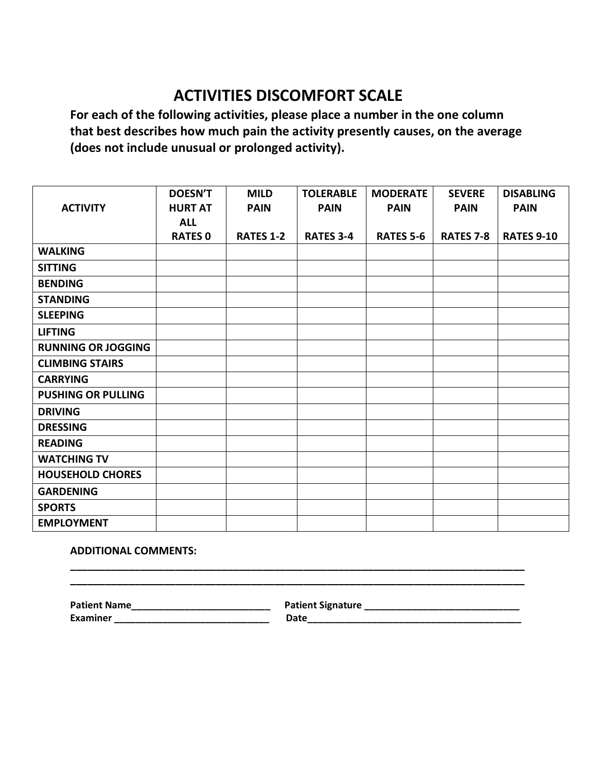# **ACTIVITIES DISCOMFORT SCALE**

**For each of the following activities, please place a number in the one column that best describes how much pain the activity presently causes, on the average (does not include unusual or prolonged activity).**

|                           | <b>DOESN'T</b> | <b>MILD</b>      | <b>TOLERABLE</b> | <b>MODERATE</b>  | <b>SEVERE</b>    | <b>DISABLING</b>  |
|---------------------------|----------------|------------------|------------------|------------------|------------------|-------------------|
| <b>ACTIVITY</b>           | <b>HURT AT</b> | <b>PAIN</b>      | <b>PAIN</b>      | <b>PAIN</b>      | <b>PAIN</b>      | <b>PAIN</b>       |
|                           | <b>ALL</b>     |                  |                  |                  |                  |                   |
|                           | <b>RATES 0</b> | <b>RATES 1-2</b> | <b>RATES 3-4</b> | <b>RATES 5-6</b> | <b>RATES 7-8</b> | <b>RATES 9-10</b> |
| <b>WALKING</b>            |                |                  |                  |                  |                  |                   |
| <b>SITTING</b>            |                |                  |                  |                  |                  |                   |
| <b>BENDING</b>            |                |                  |                  |                  |                  |                   |
| <b>STANDING</b>           |                |                  |                  |                  |                  |                   |
| <b>SLEEPING</b>           |                |                  |                  |                  |                  |                   |
| <b>LIFTING</b>            |                |                  |                  |                  |                  |                   |
| <b>RUNNING OR JOGGING</b> |                |                  |                  |                  |                  |                   |
| <b>CLIMBING STAIRS</b>    |                |                  |                  |                  |                  |                   |
| <b>CARRYING</b>           |                |                  |                  |                  |                  |                   |
| <b>PUSHING OR PULLING</b> |                |                  |                  |                  |                  |                   |
| <b>DRIVING</b>            |                |                  |                  |                  |                  |                   |
| <b>DRESSING</b>           |                |                  |                  |                  |                  |                   |
| <b>READING</b>            |                |                  |                  |                  |                  |                   |
| <b>WATCHING TV</b>        |                |                  |                  |                  |                  |                   |
| <b>HOUSEHOLD CHORES</b>   |                |                  |                  |                  |                  |                   |
| <b>GARDENING</b>          |                |                  |                  |                  |                  |                   |
| <b>SPORTS</b>             |                |                  |                  |                  |                  |                   |
| <b>EMPLOYMENT</b>         |                |                  |                  |                  |                  |                   |

## **ADDITIONAL COMMENTS:**

**Patient Name\_\_\_\_\_\_\_\_\_\_\_\_\_\_\_\_\_\_\_\_\_\_\_\_\_\_ Patient Signature \_\_\_\_\_\_\_\_\_\_\_\_\_\_\_\_\_\_\_\_\_\_\_\_\_\_\_\_\_** 

**Examiner \_\_\_\_\_\_\_\_\_\_\_\_\_\_\_\_\_\_\_\_\_\_\_\_\_\_\_\_\_ Date\_\_\_\_\_\_\_\_\_\_\_\_\_\_\_\_\_\_\_\_\_\_\_\_\_\_\_\_\_\_\_\_\_\_\_\_\_\_\_\_**

**\_\_\_\_\_\_\_\_\_\_\_\_\_\_\_\_\_\_\_\_\_\_\_\_\_\_\_\_\_\_\_\_\_\_\_\_\_\_\_\_\_\_\_\_\_\_\_\_\_\_\_\_\_\_\_\_\_\_\_\_\_\_\_\_\_\_\_\_\_\_\_\_\_\_\_\_\_\_ \_\_\_\_\_\_\_\_\_\_\_\_\_\_\_\_\_\_\_\_\_\_\_\_\_\_\_\_\_\_\_\_\_\_\_\_\_\_\_\_\_\_\_\_\_\_\_\_\_\_\_\_\_\_\_\_\_\_\_\_\_\_\_\_\_\_\_\_\_\_\_\_\_\_\_\_\_\_**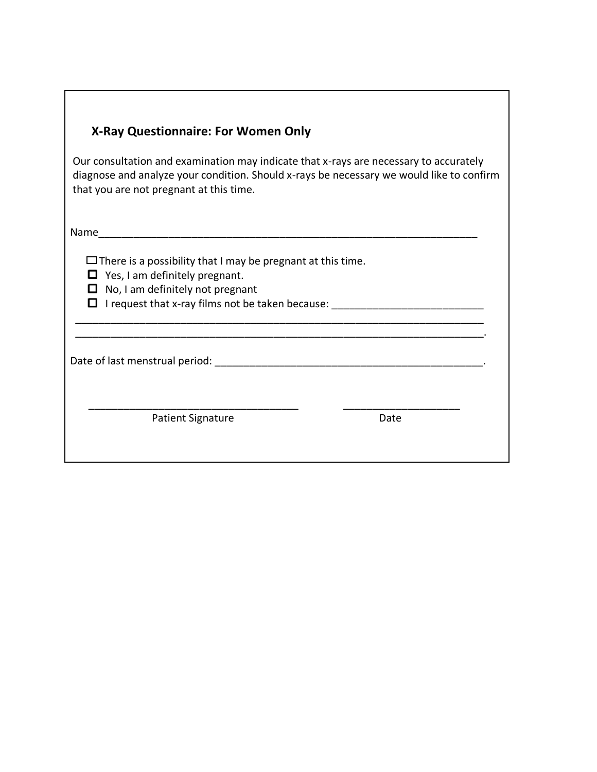## **X-Ray Questionnaire: For Women Only**

Our consultation and examination may indicate that x-rays are necessary to accurately diagnose and analyze your condition. Should x-rays be necessary we would like to confirm that you are not pregnant at this time.

\_\_\_\_\_\_\_\_\_\_\_\_\_\_\_\_\_\_\_\_\_\_\_\_\_\_\_\_\_\_\_\_\_\_\_\_\_\_\_\_\_\_\_\_\_\_\_\_\_\_\_\_\_\_\_\_\_\_\_\_\_\_\_\_\_\_\_\_\_\_

\_\_\_\_\_\_\_\_\_\_\_\_\_\_\_\_\_\_\_\_\_\_\_\_\_\_\_\_\_\_\_\_\_\_\_\_\_\_\_\_\_\_\_\_\_\_\_\_\_\_\_\_\_\_\_\_\_\_\_\_\_\_\_\_\_\_\_\_\_\_.

\_\_\_\_\_\_\_\_\_\_\_\_\_\_\_\_\_\_\_\_\_\_\_\_\_\_\_\_\_\_\_\_\_\_\_\_ \_\_\_\_\_\_\_\_\_\_\_\_\_\_\_\_\_\_\_\_

Name

 $\Box$  There is a possibility that I may be pregnant at this time.

- $\Box$  Yes, I am definitely pregnant.
- $\Box$  No, I am definitely not pregnant
- I request that x-ray films not be taken because: \_\_\_\_\_\_\_\_\_\_\_\_\_\_\_\_\_\_\_\_\_\_\_\_\_\_

Date of last menstrual period:  $\Box$ 

Patient Signature **Date** Date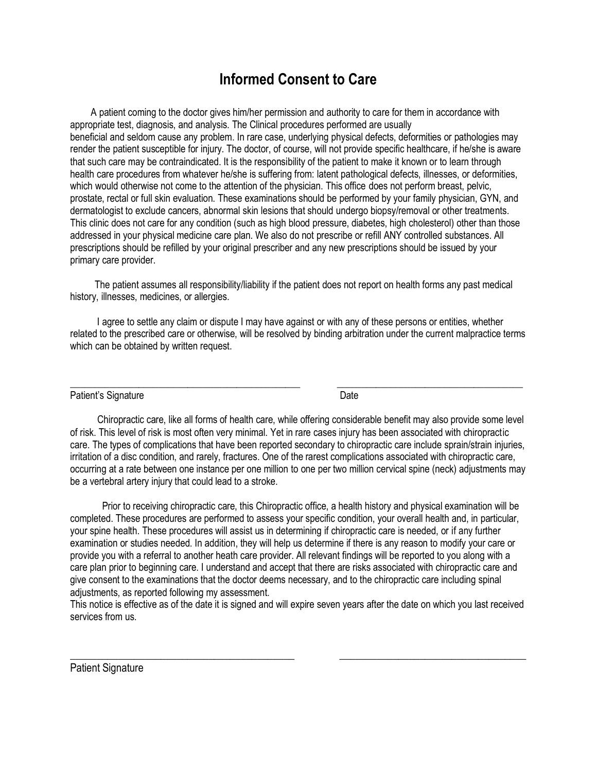# **Informed Consent to Care**

 A patient coming to the doctor gives him/her permission and authority to care for them in accordance with appropriate test, diagnosis, and analysis. The Clinical procedures performed are usually beneficial and seldom cause any problem. In rare case, underlying physical defects, deformities or pathologies may render the patient susceptible for injury. The doctor, of course, will not provide specific healthcare, if he/she is aware that such care may be contraindicated. It is the responsibility of the patient to make it known or to learn through health care procedures from whatever he/she is suffering from: latent pathological defects, illnesses, or deformities, which would otherwise not come to the attention of the physician. This office does not perform breast, pelvic, prostate, rectal or full skin evaluation. These examinations should be performed by your family physician, GYN, and dermatologist to exclude cancers, abnormal skin lesions that should undergo biopsy/removal or other treatments. This clinic does not care for any condition (such as high blood pressure, diabetes, high cholesterol) other than those addressed in your physical medicine care plan. We also do not prescribe or refill ANY controlled substances. All prescriptions should be refilled by your original prescriber and any new prescriptions should be issued by your primary care provider.

 The patient assumes all responsibility/liability if the patient does not report on health forms any past medical history, illnesses, medicines, or allergies.

 I agree to settle any claim or dispute I may have against or with any of these persons or entities, whether related to the prescribed care or otherwise, will be resolved by binding arbitration under the current malpractice terms which can be obtained by written request.

\_\_\_\_\_\_\_\_\_\_\_\_\_\_\_\_\_\_\_\_\_\_\_\_\_\_\_\_\_\_\_\_\_\_\_\_\_\_\_\_\_\_\_\_\_\_\_ \_\_\_\_\_\_\_\_\_\_\_\_\_\_\_\_\_\_\_\_\_\_\_\_\_\_\_\_\_\_\_\_\_\_\_\_\_\_

Patient's Signature Date Date Date

 Chiropractic care, like all forms of health care, while offering considerable benefit may also provide some level of risk. This level of risk is most often very minimal. Yet in rare cases injury has been associated with chiropractic care. The types of complications that have been reported secondary to chiropractic care include sprain/strain injuries, irritation of a disc condition, and rarely, fractures. One of the rarest complications associated with chiropractic care, occurring at a rate between one instance per one million to one per two million cervical spine (neck) adjustments may be a vertebral artery injury that could lead to a stroke.

 Prior to receiving chiropractic care, this Chiropractic office, a health history and physical examination will be completed. These procedures are performed to assess your specific condition, your overall health and, in particular, your spine health. These procedures will assist us in determining if chiropractic care is needed, or if any further examination or studies needed. In addition, they will help us determine if there is any reason to modify your care or provide you with a referral to another heath care provider. All relevant findings will be reported to you along with a care plan prior to beginning care. I understand and accept that there are risks associated with chiropractic care and give consent to the examinations that the doctor deems necessary, and to the chiropractic care including spinal adjustments, as reported following my assessment.

This notice is effective as of the date it is signed and will expire seven years after the date on which you last received services from us.

\_\_\_\_\_\_\_\_\_\_\_\_\_\_\_\_\_\_\_\_\_\_\_\_\_\_\_\_\_\_\_\_\_\_\_\_\_\_\_\_\_\_ \_\_\_\_\_\_\_\_\_\_\_\_\_\_\_\_\_\_\_\_\_\_\_\_\_\_\_\_\_\_\_\_\_\_\_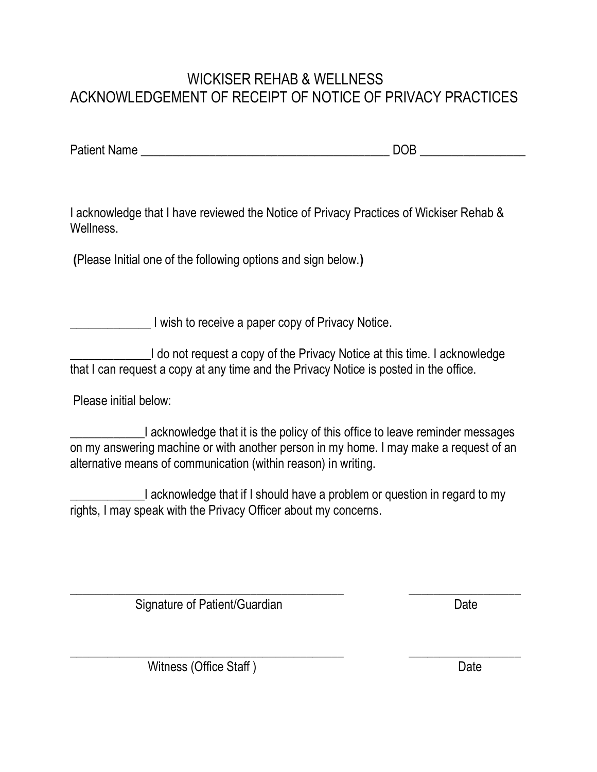# WICKISER REHAB & WELLNESS ACKNOWLEDGEMENT OF RECEIPT OF NOTICE OF PRIVACY PRACTICES

Patient Name \_\_\_\_\_\_\_\_\_\_\_\_\_\_\_\_\_\_\_\_\_\_\_\_\_\_\_\_\_\_\_\_\_\_\_\_\_\_\_\_ DOB \_\_\_\_\_\_\_\_\_\_\_\_\_\_\_\_\_

I acknowledge that I have reviewed the Notice of Privacy Practices of Wickiser Rehab & **Wellness** 

**(**Please Initial one of the following options and sign below.**)**

**EXECUTE:** I wish to receive a paper copy of Privacy Notice.

I do not request a copy of the Privacy Notice at this time. I acknowledge that I can request a copy at any time and the Privacy Notice is posted in the office.

Please initial below:

I acknowledge that it is the policy of this office to leave reminder messages on my answering machine or with another person in my home. I may make a request of an alternative means of communication (within reason) in writing.

\_\_\_\_\_\_\_\_\_\_\_\_I acknowledge that if I should have a problem or question in regard to my rights, I may speak with the Privacy Officer about my concerns.

\_\_\_\_\_\_\_\_\_\_\_\_\_\_\_\_\_\_\_\_\_\_\_\_\_\_\_\_\_\_\_\_\_\_\_\_\_\_\_\_\_\_\_\_ \_\_\_\_\_\_\_\_\_\_\_\_\_\_\_\_\_\_

\_\_\_\_\_\_\_\_\_\_\_\_\_\_\_\_\_\_\_\_\_\_\_\_\_\_\_\_\_\_\_\_\_\_\_\_\_\_\_\_\_\_\_\_ \_\_\_\_\_\_\_\_\_\_\_\_\_\_\_\_\_\_

Signature of Patient/Guardian Date Date

Witness (Office Staff) Date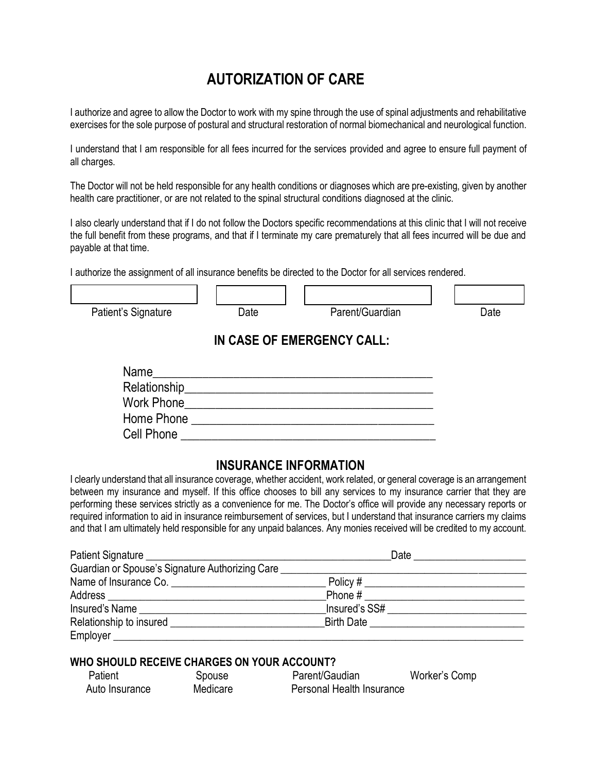# **AUTORIZATION OF CARE**

I authorize and agree to allow the Doctor to work with my spine through the use of spinal adjustments and rehabilitative exercises for the sole purpose of postural and structural restoration of normal biomechanical and neurological function.

I understand that I am responsible for all fees incurred for the services provided and agree to ensure full payment of all charges.

The Doctor will not be held responsible for any health conditions or diagnoses which are pre-existing, given by another health care practitioner, or are not related to the spinal structural conditions diagnosed at the clinic.

I also clearly understand that if I do not follow the Doctors specific recommendations at this clinic that I will not receive the full benefit from these programs, and that if I terminate my care prematurely that all fees incurred will be due and payable at that time.

I authorize the assignment of all insurance benefits be directed to the Doctor for all services rendered.

| Patient's Signature | Date | Parent/Guardian            | Date |
|---------------------|------|----------------------------|------|
|                     |      |                            |      |
|                     |      | IN CASE OF EMERGENCY CALL: |      |
| Name                |      |                            |      |
| Relationship_       |      |                            |      |
| <b>Work Phone</b>   |      |                            |      |
| Home Phone          |      |                            |      |
| Cell Phone          |      |                            |      |

## **INSURANCE INFORMATION**

I clearly understand that all insurance coverage, whether accident, work related, or general coverage is an arrangement between my insurance and myself. If this office chooses to bill any services to my insurance carrier that they are performing these services strictly as a convenience for me. The Doctor's office will provide any necessary reports or required information to aid in insurance reimbursement of services, but I understand that insurance carriers my claims and that I am ultimately held responsible for any unpaid balances. Any monies received will be credited to my account.

|                                                 | Date                         |
|-------------------------------------------------|------------------------------|
| Guardian or Spouse's Signature Authorizing Care |                              |
| Name of Insurance Co.                           |                              |
|                                                 | Phone #                      |
| Insured's Name                                  | Insured's SS#                |
| Relationship to insured                         | <b>Birth Date Example 20</b> |
| Employer _                                      |                              |

## **WHO SHOULD RECEIVE CHARGES ON YOUR ACCOUNT?**

| Patient        | Spouse   | Parent/Gaudian            | Worker's Comp |
|----------------|----------|---------------------------|---------------|
| Auto Insurance | Medicare | Personal Health Insurance |               |